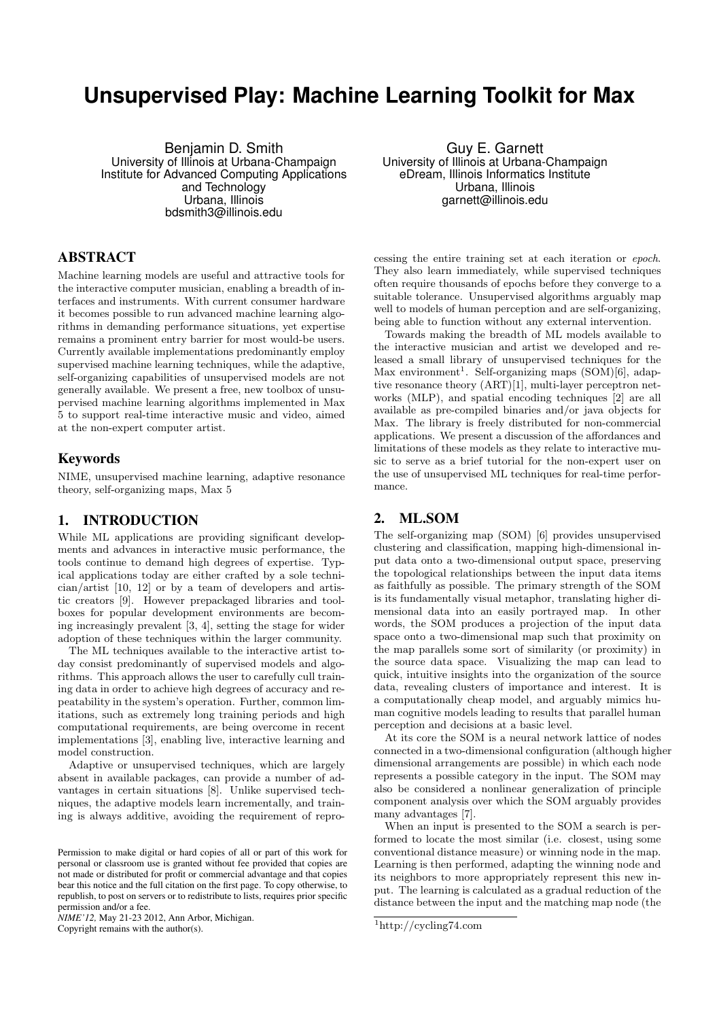# **Unsupervised Play: Machine Learning Toolkit for Max**

Benjamin D. Smith University of Illinois at Urbana-Champaign Institute for Advanced Computing Applications and Technology Urbana, Illinois bdsmith3@illinois.edu

# ABSTRACT

Machine learning models are useful and attractive tools for the interactive computer musician, enabling a breadth of interfaces and instruments. With current consumer hardware it becomes possible to run advanced machine learning algorithms in demanding performance situations, yet expertise remains a prominent entry barrier for most would-be users. Currently available implementations predominantly employ supervised machine learning techniques, while the adaptive, self-organizing capabilities of unsupervised models are not generally available. We present a free, new toolbox of unsupervised machine learning algorithms implemented in Max 5 to support real-time interactive music and video, aimed at the non-expert computer artist.

## Keywords

NIME, unsupervised machine learning, adaptive resonance theory, self-organizing maps, Max 5

## 1. INTRODUCTION

While ML applications are providing significant developments and advances in interactive music performance, the tools continue to demand high degrees of expertise. Typical applications today are either crafted by a sole technician/artist [10, 12] or by a team of developers and artistic creators [9]. However prepackaged libraries and toolboxes for popular development environments are becoming increasingly prevalent [3, 4], setting the stage for wider adoption of these techniques within the larger community.

The ML techniques available to the interactive artist today consist predominantly of supervised models and algorithms. This approach allows the user to carefully cull training data in order to achieve high degrees of accuracy and repeatability in the system's operation. Further, common limitations, such as extremely long training periods and high computational requirements, are being overcome in recent implementations [3], enabling live, interactive learning and model construction.

Adaptive or unsupervised techniques, which are largely absent in available packages, can provide a number of advantages in certain situations [8]. Unlike supervised techniques, the adaptive models learn incrementally, and training is always additive, avoiding the requirement of repro-

*NIME'12,* May 21-23 2012, Ann Arbor, Michigan.

Copyright remains with the author(s).

Guy E. Garnett University of Illinois at Urbana-Champaign eDream, Illinois Informatics Institute Urbana, Illinois garnett@illinois.edu

cessing the entire training set at each iteration or epoch. They also learn immediately, while supervised techniques often require thousands of epochs before they converge to a suitable tolerance. Unsupervised algorithms arguably map well to models of human perception and are self-organizing, being able to function without any external intervention.

Towards making the breadth of ML models available to the interactive musician and artist we developed and released a small library of unsupervised techniques for the Max environment<sup>1</sup>. Self-organizing maps  $(SOM)[6]$ , adaptive resonance theory (ART)[1], multi-layer perceptron networks (MLP), and spatial encoding techniques [2] are all available as pre-compiled binaries and/or java objects for Max. The library is freely distributed for non-commercial applications. We present a discussion of the affordances and limitations of these models as they relate to interactive music to serve as a brief tutorial for the non-expert user on the use of unsupervised ML techniques for real-time performance.

# 2. ML.SOM

The self-organizing map (SOM) [6] provides unsupervised clustering and classification, mapping high-dimensional input data onto a two-dimensional output space, preserving the topological relationships between the input data items as faithfully as possible. The primary strength of the SOM is its fundamentally visual metaphor, translating higher dimensional data into an easily portrayed map. In other words, the SOM produces a projection of the input data space onto a two-dimensional map such that proximity on the map parallels some sort of similarity (or proximity) in the source data space. Visualizing the map can lead to quick, intuitive insights into the organization of the source data, revealing clusters of importance and interest. It is a computationally cheap model, and arguably mimics human cognitive models leading to results that parallel human perception and decisions at a basic level.

At its core the SOM is a neural network lattice of nodes connected in a two-dimensional configuration (although higher dimensional arrangements are possible) in which each node represents a possible category in the input. The SOM may also be considered a nonlinear generalization of principle component analysis over which the SOM arguably provides many advantages [7].

When an input is presented to the SOM a search is performed to locate the most similar (i.e. closest, using some conventional distance measure) or winning node in the map. Learning is then performed, adapting the winning node and its neighbors to more appropriately represent this new input. The learning is calculated as a gradual reduction of the distance between the input and the matching map node (the

Permission to make digital or hard copies of all or part of this work for personal or classroom use is granted without fee provided that copies are not made or distributed for profit or commercial advantage and that copies bear this notice and the full citation on the first page. To copy otherwise, to republish, to post on servers or to redistribute to lists, requires prior specific permission and/or a fee.

<sup>1</sup>http://cycling74.com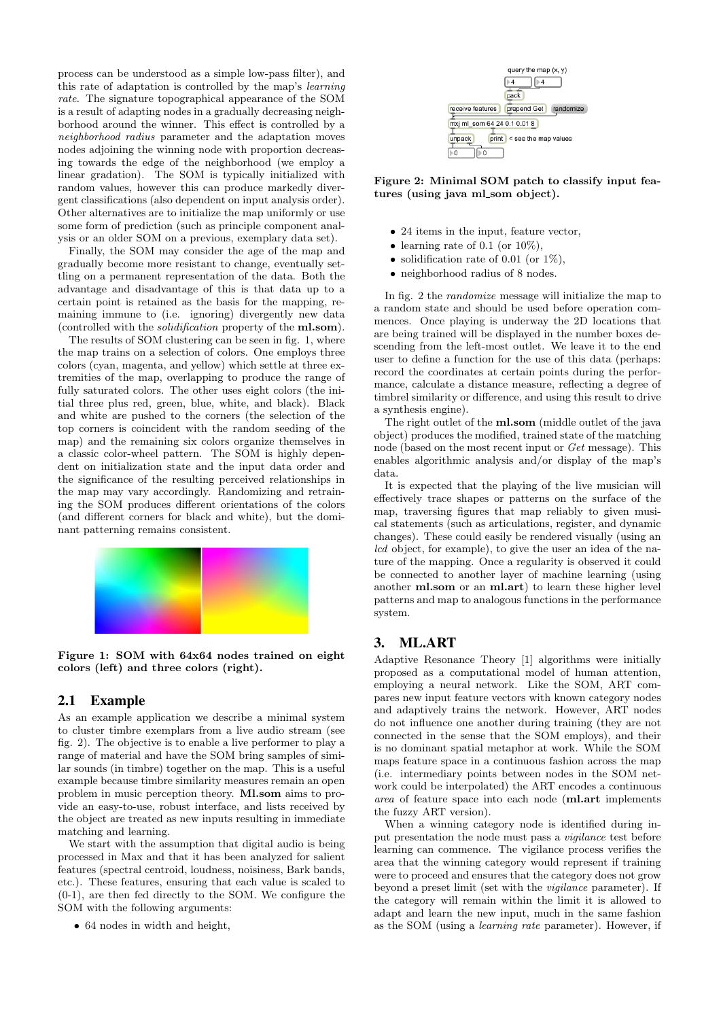process can be understood as a simple low-pass filter), and this rate of adaptation is controlled by the map's learning rate. The signature topographical appearance of the SOM is a result of adapting nodes in a gradually decreasing neighborhood around the winner. This effect is controlled by a neighborhood radius parameter and the adaptation moves nodes adjoining the winning node with proportion decreasing towards the edge of the neighborhood (we employ a linear gradation). The SOM is typically initialized with random values, however this can produce markedly divergent classifications (also dependent on input analysis order). Other alternatives are to initialize the map uniformly or use some form of prediction (such as principle component analysis or an older SOM on a previous, exemplary data set).

Finally, the SOM may consider the age of the map and gradually become more resistant to change, eventually settling on a permanent representation of the data. Both the advantage and disadvantage of this is that data up to a certain point is retained as the basis for the mapping, remaining immune to (i.e. ignoring) divergently new data (controlled with the solidification property of the ml.som).

The results of SOM clustering can be seen in fig. 1, where the map trains on a selection of colors. One employs three colors (cyan, magenta, and yellow) which settle at three extremities of the map, overlapping to produce the range of fully saturated colors. The other uses eight colors (the initial three plus red, green, blue, white, and black). Black and white are pushed to the corners (the selection of the top corners is coincident with the random seeding of the map) and the remaining six colors organize themselves in a classic color-wheel pattern. The SOM is highly dependent on initialization state and the input data order and the significance of the resulting perceived relationships in the map may vary accordingly. Randomizing and retraining the SOM produces different orientations of the colors (and different corners for black and white), but the dominant patterning remains consistent.



Figure 1: SOM with 64x64 nodes trained on eight colors (left) and three colors (right).

## 2.1 Example

As an example application we describe a minimal system to cluster timbre exemplars from a live audio stream (see fig. 2). The objective is to enable a live performer to play a range of material and have the SOM bring samples of similar sounds (in timbre) together on the map. This is a useful example because timbre similarity measures remain an open problem in music perception theory. Ml.som aims to provide an easy-to-use, robust interface, and lists received by the object are treated as new inputs resulting in immediate matching and learning.

We start with the assumption that digital audio is being processed in Max and that it has been analyzed for salient features (spectral centroid, loudness, noisiness, Bark bands, etc.). These features, ensuring that each value is scaled to (0-1), are then fed directly to the SOM. We configure the SOM with the following arguments:

• 64 nodes in width and height.



Figure 2: Minimal SOM patch to classify input features (using java ml\_som object).

- 24 items in the input, feature vector,
- learning rate of 0.1 (or  $10\%$ ),
- solidification rate of 0.01 (or  $1\%$ ),
- neighborhood radius of 8 nodes.

In fig. 2 the randomize message will initialize the map to a random state and should be used before operation commences. Once playing is underway the 2D locations that are being trained will be displayed in the number boxes descending from the left-most outlet. We leave it to the end user to define a function for the use of this data (perhaps: record the coordinates at certain points during the performance, calculate a distance measure, reflecting a degree of timbrel similarity or difference, and using this result to drive a synthesis engine).

The right outlet of the ml.som (middle outlet of the java object) produces the modified, trained state of the matching node (based on the most recent input or Get message). This enables algorithmic analysis and/or display of the map's data.

It is expected that the playing of the live musician will effectively trace shapes or patterns on the surface of the map, traversing figures that map reliably to given musical statements (such as articulations, register, and dynamic changes). These could easily be rendered visually (using an lcd object, for example), to give the user an idea of the nature of the mapping. Once a regularity is observed it could be connected to another layer of machine learning (using another ml.som or an ml.art) to learn these higher level patterns and map to analogous functions in the performance system.

# 3. ML.ART

Adaptive Resonance Theory [1] algorithms were initially proposed as a computational model of human attention, employing a neural network. Like the SOM, ART compares new input feature vectors with known category nodes and adaptively trains the network. However, ART nodes do not influence one another during training (they are not connected in the sense that the SOM employs), and their is no dominant spatial metaphor at work. While the SOM maps feature space in a continuous fashion across the map (i.e. intermediary points between nodes in the SOM network could be interpolated) the ART encodes a continuous area of feature space into each node (ml.art implements the fuzzy ART version).

When a winning category node is identified during input presentation the node must pass a vigilance test before learning can commence. The vigilance process verifies the area that the winning category would represent if training were to proceed and ensures that the category does not grow beyond a preset limit (set with the vigilance parameter). If the category will remain within the limit it is allowed to adapt and learn the new input, much in the same fashion as the SOM (using a learning rate parameter). However, if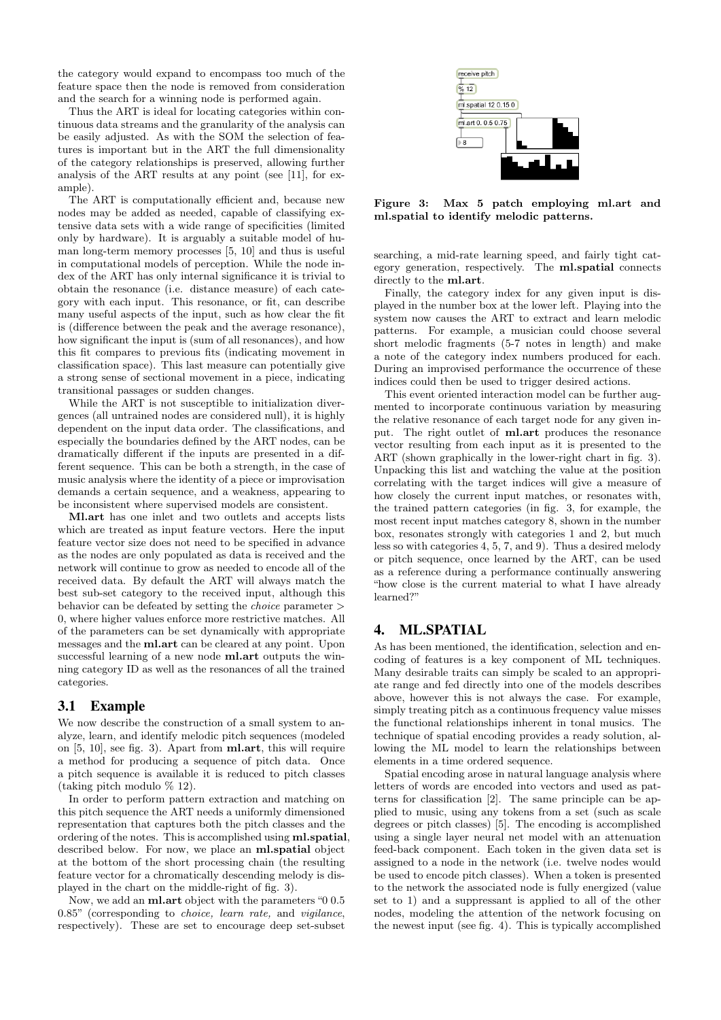the category would expand to encompass too much of the feature space then the node is removed from consideration and the search for a winning node is performed again.

Thus the ART is ideal for locating categories within continuous data streams and the granularity of the analysis can be easily adjusted. As with the SOM the selection of features is important but in the ART the full dimensionality of the category relationships is preserved, allowing further analysis of the ART results at any point (see [11], for example).

The ART is computationally efficient and, because new nodes may be added as needed, capable of classifying extensive data sets with a wide range of specificities (limited only by hardware). It is arguably a suitable model of human long-term memory processes [5, 10] and thus is useful in computational models of perception. While the node index of the ART has only internal significance it is trivial to obtain the resonance (i.e. distance measure) of each category with each input. This resonance, or fit, can describe many useful aspects of the input, such as how clear the fit is (difference between the peak and the average resonance), how significant the input is (sum of all resonances), and how this fit compares to previous fits (indicating movement in classification space). This last measure can potentially give a strong sense of sectional movement in a piece, indicating transitional passages or sudden changes.

While the ART is not susceptible to initialization divergences (all untrained nodes are considered null), it is highly dependent on the input data order. The classifications, and especially the boundaries defined by the ART nodes, can be dramatically different if the inputs are presented in a different sequence. This can be both a strength, in the case of music analysis where the identity of a piece or improvisation demands a certain sequence, and a weakness, appearing to be inconsistent where supervised models are consistent.

Ml.art has one inlet and two outlets and accepts lists which are treated as input feature vectors. Here the input feature vector size does not need to be specified in advance as the nodes are only populated as data is received and the network will continue to grow as needed to encode all of the received data. By default the ART will always match the best sub-set category to the received input, although this behavior can be defeated by setting the choice parameter > 0, where higher values enforce more restrictive matches. All of the parameters can be set dynamically with appropriate messages and the ml.art can be cleared at any point. Upon successful learning of a new node ml.art outputs the winning category ID as well as the resonances of all the trained categories.

#### 3.1 Example

We now describe the construction of a small system to analyze, learn, and identify melodic pitch sequences (modeled on [5, 10], see fig. 3). Apart from ml.art, this will require a method for producing a sequence of pitch data. Once a pitch sequence is available it is reduced to pitch classes (taking pitch modulo % 12).

In order to perform pattern extraction and matching on this pitch sequence the ART needs a uniformly dimensioned representation that captures both the pitch classes and the ordering of the notes. This is accomplished using ml.spatial, described below. For now, we place an **ml.spatial** object at the bottom of the short processing chain (the resulting feature vector for a chromatically descending melody is displayed in the chart on the middle-right of fig. 3).

Now, we add an ml.art object with the parameters "0 0.5 0.85" (corresponding to choice, learn rate, and vigilance, respectively). These are set to encourage deep set-subset



Figure 3: Max 5 patch employing ml.art and ml.spatial to identify melodic patterns.

searching, a mid-rate learning speed, and fairly tight category generation, respectively. The ml.spatial connects directly to the ml.art.

Finally, the category index for any given input is displayed in the number box at the lower left. Playing into the system now causes the ART to extract and learn melodic patterns. For example, a musician could choose several short melodic fragments (5-7 notes in length) and make a note of the category index numbers produced for each. During an improvised performance the occurrence of these indices could then be used to trigger desired actions.

This event oriented interaction model can be further augmented to incorporate continuous variation by measuring the relative resonance of each target node for any given input. The right outlet of ml.art produces the resonance vector resulting from each input as it is presented to the ART (shown graphically in the lower-right chart in fig. 3). Unpacking this list and watching the value at the position correlating with the target indices will give a measure of how closely the current input matches, or resonates with, the trained pattern categories (in fig. 3, for example, the most recent input matches category 8, shown in the number box, resonates strongly with categories 1 and 2, but much less so with categories 4, 5, 7, and 9). Thus a desired melody or pitch sequence, once learned by the ART, can be used as a reference during a performance continually answering "how close is the current material to what I have already learned?"

# 4. ML.SPATIAL

As has been mentioned, the identification, selection and encoding of features is a key component of ML techniques. Many desirable traits can simply be scaled to an appropriate range and fed directly into one of the models describes above, however this is not always the case. For example, simply treating pitch as a continuous frequency value misses the functional relationships inherent in tonal musics. The technique of spatial encoding provides a ready solution, allowing the ML model to learn the relationships between elements in a time ordered sequence.

Spatial encoding arose in natural language analysis where letters of words are encoded into vectors and used as patterns for classification [2]. The same principle can be applied to music, using any tokens from a set (such as scale degrees or pitch classes) [5]. The encoding is accomplished using a single layer neural net model with an attenuation feed-back component. Each token in the given data set is assigned to a node in the network (i.e. twelve nodes would be used to encode pitch classes). When a token is presented to the network the associated node is fully energized (value set to 1) and a suppressant is applied to all of the other nodes, modeling the attention of the network focusing on the newest input (see fig. 4). This is typically accomplished